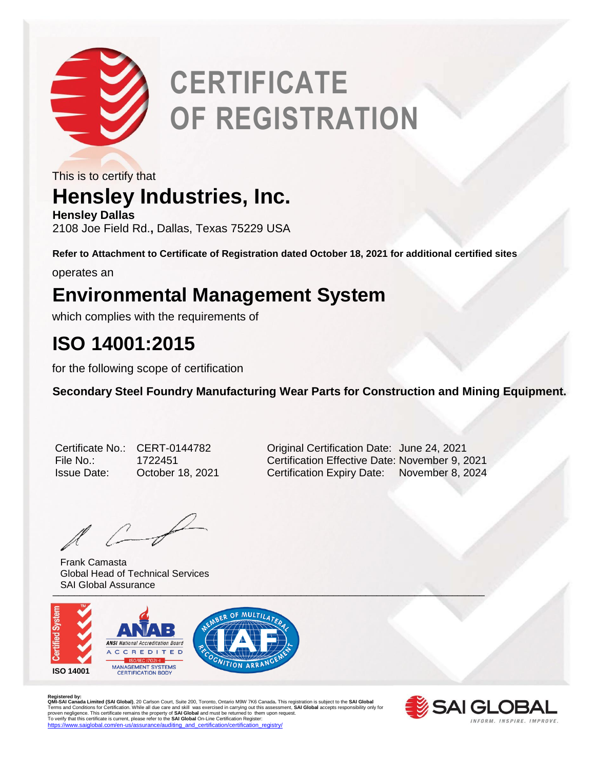

# **CERTIFICATE OF REGISTRATION**

This is to certify that

## **Hensley Industries, Inc.**

**Hensley Dallas** 2108 Joe Field Rd.**,** Dallas, Texas 75229 USA

**Refer to Attachment to Certificate of Registration dated October 18, 2021 for additional certified sites**

operates an

### **Environmental Management System**

which complies with the requirements of

### **ISO 14001:2015**

for the following scope of certification

**Secondary Steel Foundry Manufacturing Wear Parts for Construction and Mining Equipment.** 

| Certificate No.    |
|--------------------|
| File No.:          |
| <b>Issue Date:</b> |

 $\ell$ 

University of the contract of the contract of the contract of the contract of the contract of the contract of Frank Camasta Global Head of Technical Services SAI Global Assurance



Registered by:<br>**QMI-SA Landa Limited (SAI Global)**, 20 Carlson Court, Suite 200, Toronto, Ontario M9W 7K6 Canada. This registration is subject to the **SAI Global**<br>Terms and Conditions for Certification. While all due care



CERT-0144782 **CERT-0144782** Original Certification Date: June 24, 2021 File No.: 1722451 Certification Effective Date: November 9, 2021 October 18, 2021 Certification Expiry Date: November 8, 2024